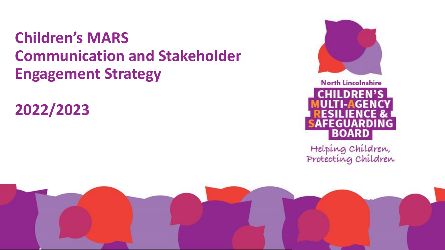# **Children's MARS Communication and Stakeholder Engagement Strategy**

**2022/2023**



**North Lincolnshire CHILDREN'S** FEGUARDING BOARD

Helping Children,<br>Protecting Children

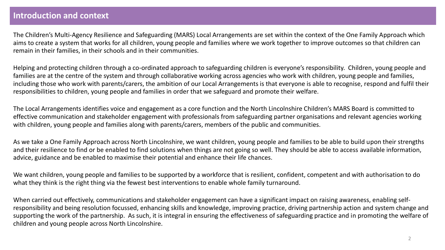# **Introduction and context**

The Children's Multi-Agency Resilience and Safeguarding (MARS) Local Arrangements are set within the context of the One Family Approach which aims to create a system that works for all children, young people and families where we work together to improve outcomes so that children can remain in their families, in their schools and in their communities.

Helping and protecting children through a co-ordinated approach to safeguarding children is everyone's responsibility. Children, young people and families are at the centre of the system and through collaborative working across agencies who work with children, young people and families, including those who work with parents/carers, the ambition of our Local Arrangements is that everyone is able to recognise, respond and fulfil their responsibilities to children, young people and families in order that we safeguard and promote their welfare.

The Local Arrangements identifies voice and engagement as a core function and the North Lincolnshire Children's MARS Board is committed to effective communication and stakeholder engagement with professionals from safeguarding partner organisations and relevant agencies working with children, young people and families along with parents/carers, members of the public and communities.

As we take a One Family Approach across North Lincolnshire, we want children, young people and families to be able to build upon their strengths and their resilience to find or be enabled to find solutions when things are not going so well. They should be able to access available information, advice, guidance and be enabled to maximise their potential and enhance their life chances.

We want children, young people and families to be supported by a workforce that is resilient, confident, competent and with authorisation to do what they think is the right thing via the fewest best interventions to enable whole family turnaround.

When carried out effectively, communications and stakeholder engagement can have a significant impact on raising awareness, enabling selfresponsibility and being resolution focussed, enhancing skills and knowledge, improving practice, driving partnership action and system change and supporting the work of the partnership. As such, it is integral in ensuring the effectiveness of safeguarding practice and in promoting the welfare of children and young people across North Lincolnshire.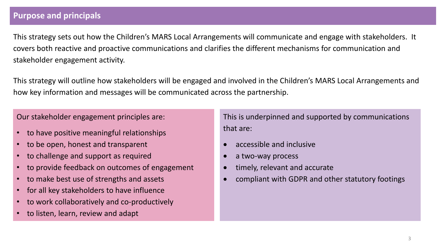# **Purpose and principals**

This strategy sets out how the Children's MARS Local Arrangements will communicate and engage with stakeholders. It covers both reactive and proactive communications and clarifies the different mechanisms for communication and stakeholder engagement activity.

This strategy will outline how stakeholders will be engaged and involved in the Children's MARS Local Arrangements and how key information and messages will be communicated across the partnership.

Our stakeholder engagement principles are:

- to have positive meaningful relationships
- to be open, honest and transparent
- to challenge and support as required
- to provide feedback on outcomes of engagement
- to make best use of strengths and assets
- for all key stakeholders to have influence
- to work collaboratively and co-productively
- to listen, learn, review and adapt

This is underpinned and supported by communications that are:

- accessible and inclusive
- a two-way process
- timely, relevant and accurate
- compliant with GDPR and other statutory footings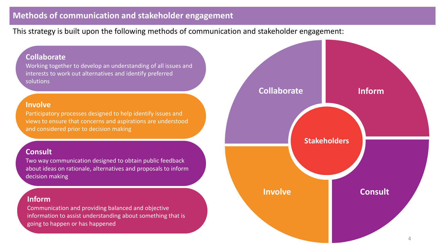# **Methods of communication and stakeholder engagement**

This strategy is built upon the following methods of communication and stakeholder engagement:

## **Collaborate**

Working together to develop an understanding of all issues and interests to work out alternatives and identify preferred solutions

#### **Involve**

Participatory processes designed to help identify issues and views to ensure that concerns and aspirations are understood and considered prior to decision making

#### **Consult**

Two way communication designed to obtain public feedback about ideas on rationale, alternatives and proposals to inform decision making

#### **Inform**

Communication and providing balanced and objective information to assist understanding about something that is going to happen or has happened

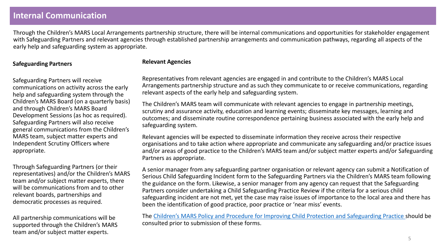## **Internal Communication**

Through the Children's MARS Local Arrangements partnership structure, there will be internal communications and opportunities for stakeholder engagement with Safeguarding Partners and relevant agencies through established partnership arrangements and communication pathways, regarding all aspects of the early help and safeguarding system as appropriate.

#### **Safeguarding Partners**

Safeguarding Partners will receive communications on activity across the early help and safeguarding system through the Children's MARS Board (on a quarterly basis) and through Children's MARS Board Development Sessions (as hoc as required). Safeguarding Partners will also receive general communications from the Children's MARS team, subject matter experts and Independent Scrutiny Officers where appropriate.

Through Safeguarding Partners (or their representatives) and/or the Children's MARS team and/or subject matter experts, there will be communications from and to other relevant boards, partnerships and democratic processes as required.

All partnership communications will be supported through the Children's MARS team and/or subject matter experts.

#### **Relevant Agencies**

Representatives from relevant agencies are engaged in and contribute to the Children's MARS Local Arrangements partnership structure and as such they communicate to or receive communications, regarding relevant aspects of the early help and safeguarding system.

The Children's MARS team will communicate with relevant agencies to engage in partnership meetings, scrutiny and assurance activity, education and learning events; disseminate key messages, learning and outcomes; and disseminate routine correspondence pertaining business associated with the early help and safeguarding system.

Relevant agencies will be expected to disseminate information they receive across their respective organisations and to take action where appropriate and communicate any safeguarding and/or practice issues and/or areas of good practice to the Children's MARS team and/or subject matter experts and/or Safeguarding Partners as appropriate.

A senior manager from any safeguarding partner organisation or relevant agency can submit a Notification of Serious Child Safeguarding Incident form to the Safeguarding Partners via the Children's MARS team following the guidance on the form. Likewise, a senior manager from any agency can request that the Safeguarding Partners consider undertaking a Child Safeguarding Practice Review if the criteria for a serious child safeguarding incident are not met, yet the case may raise issues of importance to the local area and there has been the identification of good practice, poor practice or 'near miss' events.

The [Children's MARS Policy and Procedure for Improving Child Protection and Safeguarding Practice](http://www.northlincscmars.co.uk/policies-procedures-and-guidance/) should be consulted prior to submission of these forms.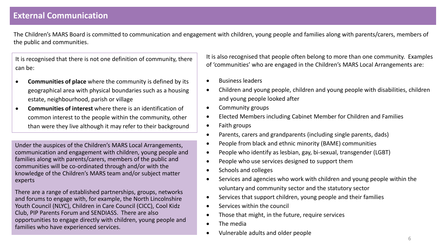## **External Communication**

The Children's MARS Board is committed to communication and engagement with children, young people and families along with parents/carers, members of the public and communities.

It is recognised that there is not one definition of community, there can be:

- **Communities of place** where the community is defined by its geographical area with physical boundaries such as a housing estate, neighbourhood, parish or village
- **Communities of interest** where there is an identification of common interest to the people within the community, other than were they live although it may refer to their background

Under the auspices of the Children's MARS Local Arrangements, communication and engagement with children, young people and families along with parents/carers, members of the public and communities will be co-ordinated through and/or with the knowledge of the Children's MARS team and/or subject matter experts

There are a range of established partnerships, groups, networks and forums to engage with, for example, the North Lincolnshire Youth Council (NLYC), Children in Care Council (CICC), Cool Kidz Club, PIP Parents Forum and SENDIASS. There are also opportunities to engage directly with children, young people and families who have experienced services.

It is also recognised that people often belong to more than one community. Examples of 'communities' who are engaged in the Children's MARS Local Arrangements are:

- Business leaders
- Children and young people, children and young people with disabilities, children and young people looked after
- Community groups
- Elected Members including Cabinet Member for Children and Families
- Faith groups
- Parents, carers and grandparents (including single parents, dads)
- People from black and ethnic minority (BAME) communities
- People who identify as lesbian, gay, bi-sexual, transgender (LGBT)
- People who use services designed to support them
- Schools and colleges
- Services and agencies who work with children and young people within the voluntary and community sector and the statutory sector
- Services that support children, young people and their families
- Services within the council
- Those that might, in the future, require services
- The media
- Vulnerable adults and older people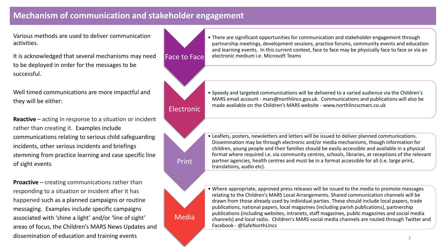# **Mechanism of communication and stakeholder engagement**

Face to Face

Electronic

Print

Media

Various methods are used to deliver communication activities.

It is acknowledged that several mechanisms may need to be deployed in order for the messages to be successful.

Well timed communications are more impactful and they will be either:

**Reactive** – acting in response to a situation or incident rather than creating it. Examples include communications relating to serious child safeguarding incidents, other serious incidents and briefings stemming from practice learning and case specific line of sight events

**Proactive** – creating communications rather than responding to a situation or incident after it has happened such as a planned campaigns or routine messaging. Examples include specific campaigns associated with 'shine a light' and/or 'line of sight' areas of focus, the Children's MARS News Updates and dissemination of education and training events

• There are significant opportunities for communication and stakeholder engagement through partnership meetings, development sessions, practice forums, community events and education and learning events. In this current context, face to face may be physically face to face or via an electronic medium i.e. Microsoft Teams

• Speedy and targeted communications will be delivered to a varied audience via the Children's MARS email account - mars@northlincs.gov.uk. Communications and publications will also be made available on the Children's MARS website - www.northlincscmars.co.uk

- Leaflets, posters, newsletters and letters will be issued to deliver planned communications. Dissemination may be through electronic and/or media mechanisms, though information for children, young people and their families should be easily accessible and available in a physical format where required i.e. via community centres, schools, libraries, at receptions of the relevant partner agencies, health centres and must be in a format accessible for all (i.e. large print, translations, audio etc).
- Where appropriate, approved press releases will be issued to the media to promote messages relating to the Children's MARS Local Arrangements. Shared communication channels will be drawn from those already used by individual parties. These should include local papers, trade publications, national papers, local magazines (including parish publications), partnership publications (including websites, intranets, staff magazines, public magazines and social media channels) and local radio. Children's MARS social media channels are routed through Twitter and Facebook - @SafeNorthLIncs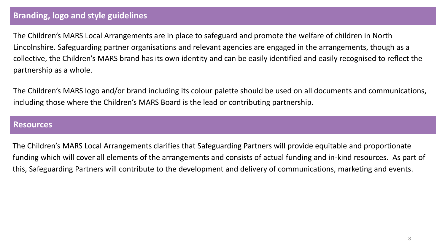# **Branding, logo and style guidelines**

The Children's MARS Local Arrangements are in place to safeguard and promote the welfare of children in North Lincolnshire. Safeguarding partner organisations and relevant agencies are engaged in the arrangements, though as a collective, the Children's MARS brand has its own identity and can be easily identified and easily recognised to reflect the partnership as a whole.

The Children's MARS logo and/or brand including its colour palette should be used on all documents and communications, including those where the Children's MARS Board is the lead or contributing partnership.

#### **Resources**

The Children's MARS Local Arrangements clarifies that Safeguarding Partners will provide equitable and proportionate funding which will cover all elements of the arrangements and consists of actual funding and in-kind resources. As part of this, Safeguarding Partners will contribute to the development and delivery of communications, marketing and events.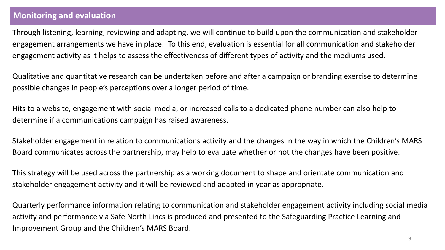# **Monitoring and evaluation**

Through listening, learning, reviewing and adapting, we will continue to build upon the communication and stakeholder engagement arrangements we have in place. To this end, evaluation is essential for all communication and stakeholder engagement activity as it helps to assess the effectiveness of different types of activity and the mediums used.

Qualitative and quantitative research can be undertaken before and after a campaign or branding exercise to determine possible changes in people's perceptions over a longer period of time.

Hits to a website, engagement with social media, or increased calls to a dedicated phone number can also help to determine if a communications campaign has raised awareness.

Stakeholder engagement in relation to communications activity and the changes in the way in which the Children's MARS Board communicates across the partnership, may help to evaluate whether or not the changes have been positive.

This strategy will be used across the partnership as a working document to shape and orientate communication and stakeholder engagement activity and it will be reviewed and adapted in year as appropriate.

Quarterly performance information relating to communication and stakeholder engagement activity including social media activity and performance via Safe North Lincs is produced and presented to the Safeguarding Practice Learning and Improvement Group and the Children's MARS Board.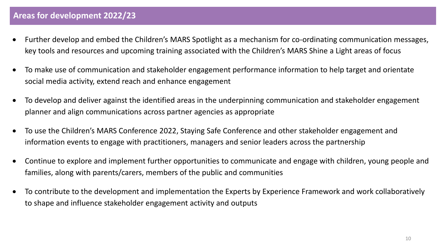- Further develop and embed the Children's MARS Spotlight as a mechanism for co-ordinating communication messages, key tools and resources and upcoming training associated with the Children's MARS Shine a Light areas of focus
- To make use of communication and stakeholder engagement performance information to help target and orientate social media activity, extend reach and enhance engagement
- To develop and deliver against the identified areas in the underpinning communication and stakeholder engagement planner and align communications across partner agencies as appropriate
- To use the Children's MARS Conference 2022, Staying Safe Conference and other stakeholder engagement and information events to engage with practitioners, managers and senior leaders across the partnership
- Continue to explore and implement further opportunities to communicate and engage with children, young people and families, along with parents/carers, members of the public and communities
- To contribute to the development and implementation the Experts by Experience Framework and work collaboratively to shape and influence stakeholder engagement activity and outputs